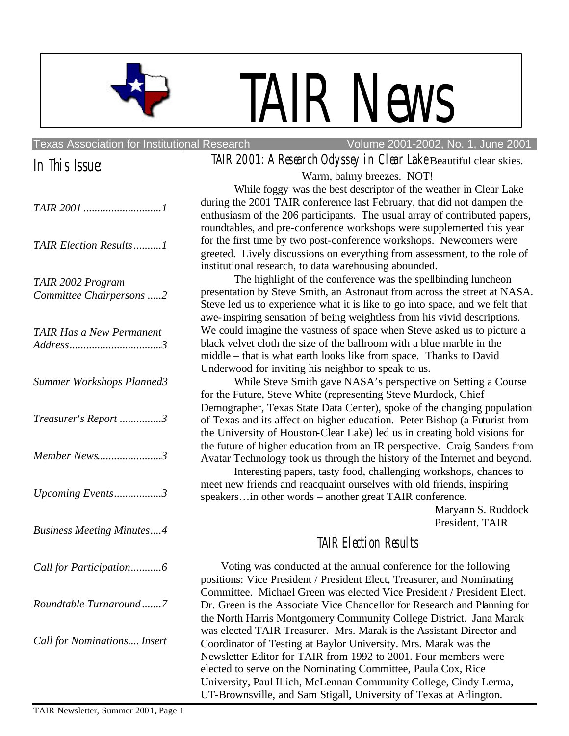

# TAIR News

#### Texas Association for Institutional Research Volume 2001-2002, No. 1, June 2001

# In This Issue:

| TAIR Election Results1                        |
|-----------------------------------------------|
| TAIR 2002 Program<br>Committee Chairpersons 2 |
| TAIR Has a New Permanent                      |
| Summer Workshops Planned3                     |
| Treasurer's Report 3                          |
| Member News3                                  |
| Upcoming Events3                              |
| <b>Business Meeting Minutes4</b>              |
| Call for Participation6                       |
| Roundtable Turnaround7                        |
| Call for Nominations Insert                   |
|                                               |

# TAIR 2001: A Research Odyssey in Clear Lake Beautiful clear skies. Warm, balmy breezes. NOT!

While foggy was the best descriptor of the weather in Clear Lake during the 2001 TAIR conference last February, that did not dampen the enthusiasm of the 206 participants. The usual array of contributed papers, roundtables, and pre-conference workshops were supplemented this year for the first time by two post-conference workshops. Newcomers were greeted. Lively discussions on everything from assessment, to the role of institutional research, to data warehousing abounded.

The highlight of the conference was the spellbinding luncheon presentation by Steve Smith, an Astronaut from across the street at NASA. Steve led us to experience what it is like to go into space, and we felt that awe-inspiring sensation of being weightless from his vivid descriptions. We could imagine the vastness of space when Steve asked us to picture a black velvet cloth the size of the ballroom with a blue marble in the middle – that is what earth looks like from space. Thanks to David Underwood for inviting his neighbor to speak to us.

While Steve Smith gave NASA's perspective on Setting a Course for the Future, Steve White (representing Steve Murdock, Chief Demographer, Texas State Data Center), spoke of the changing population of Texas and its affect on higher education. Peter Bishop (a Futurist from the University of Houston-Clear Lake) led us in creating bold visions for the future of higher education from an IR perspective. Craig Sanders from Avatar Technology took us through the history of the Internet and beyond.

Interesting papers, tasty food, challenging workshops, chances to meet new friends and reacquaint ourselves with old friends, inspiring speakers…in other words – another great TAIR conference.

Maryann S. Ruddock President, TAIR

# TAIR Election Results

Voting was conducted at the annual conference for the following positions: Vice President / President Elect, Treasurer, and Nominating Committee. Michael Green was elected Vice President / President Elect. Dr. Green is the Associate Vice Chancellor for Research and Planning for the North Harris Montgomery Community College District. Jana Marak was elected TAIR Treasurer. Mrs. Marak is the Assistant Director and Coordinator of Testing at Baylor University. Mrs. Marak was the Newsletter Editor for TAIR from 1992 to 2001. Four members were elected to serve on the Nominating Committee, Paula Cox, Rice University, Paul Illich, McLennan Community College, Cindy Lerma, UT-Brownsville, and Sam Stigall, University of Texas at Arlington.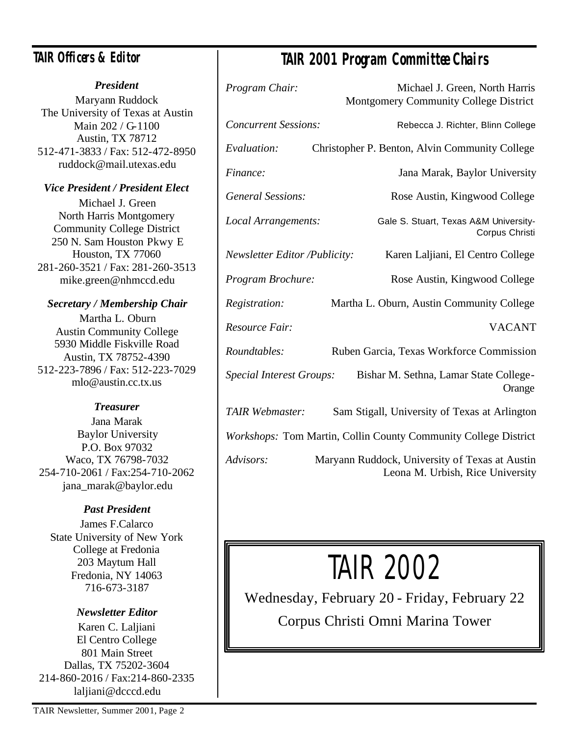# **TAIR Officers & Editor**

#### *President*

Maryann Ruddock The University of Texas at Austin Main 202 / G-1100 Austin, TX 78712 512-471-3833 / Fax: 512-472-8950 ruddock@mail.utexas.edu

## *Vice President / President Elect*

Michael J. Green North Harris Montgomery Community College District 250 N. Sam Houston Pkwy E Houston, TX 77060 281-260-3521 / Fax: 281-260-3513 mike.green@nhmccd.edu

## *Secretary / Membership Chair*

Martha L. Oburn Austin Community College 5930 Middle Fiskville Road Austin, TX 78752-4390 512-223-7896 / Fax: 512-223-7029 mlo@austin.cc.tx.us

## *Treasurer*

Jana Marak Baylor University P.O. Box 97032 Waco, TX 76798-7032 254-710-2061 / Fax:254-710-2062 jana\_marak@baylor.edu

## *Past President*

James F.Calarco State University of New York College at Fredonia 203 Maytum Hall Fredonia, NY 14063 716-673-3187

## *Newsletter Editor*

Karen C. Laljiani El Centro College 801 Main Street Dallas, TX 75202-3604 214-860-2016 / Fax:214-860-2335 laljiani@dcccd.edu

# **TAIR 2001 Program Committee Chairs**

| Program Chair:                                                  | Michael J. Green, North Harris<br>Montgomery Community College District            |  |  |
|-----------------------------------------------------------------|------------------------------------------------------------------------------------|--|--|
| <b>Concurrent Sessions:</b>                                     | Rebecca J. Richter, Blinn College                                                  |  |  |
| Evaluation:                                                     | Christopher P. Benton, Alvin Community College                                     |  |  |
| Finance:                                                        | Jana Marak, Baylor University                                                      |  |  |
| <b>General Sessions:</b>                                        | Rose Austin, Kingwood College                                                      |  |  |
| Local Arrangements:                                             | Gale S. Stuart, Texas A&M University-<br>Corpus Christi                            |  |  |
| <b>Newsletter Editor /Publicity:</b>                            | Karen Laljiani, El Centro College                                                  |  |  |
| Program Brochure:                                               | Rose Austin, Kingwood College                                                      |  |  |
| Registration:                                                   | Martha L. Oburn, Austin Community College                                          |  |  |
| Resource Fair:                                                  | <b>VACANT</b>                                                                      |  |  |
| Roundtables:                                                    | Ruben Garcia, Texas Workforce Commission                                           |  |  |
| Special Interest Groups:                                        | Bishar M. Sethna, Lamar State College-<br>Orange                                   |  |  |
| <b>TAIR Webmaster:</b>                                          | Sam Stigall, University of Texas at Arlington                                      |  |  |
| Workshops: Tom Martin, Collin County Community College District |                                                                                    |  |  |
| Advisors:                                                       | Maryann Ruddock, University of Texas at Austin<br>Leona M. Urbish, Rice University |  |  |

# TAIR 2002

Wednesday, February 20 - Friday, February 22 Corpus Christi Omni Marina Tower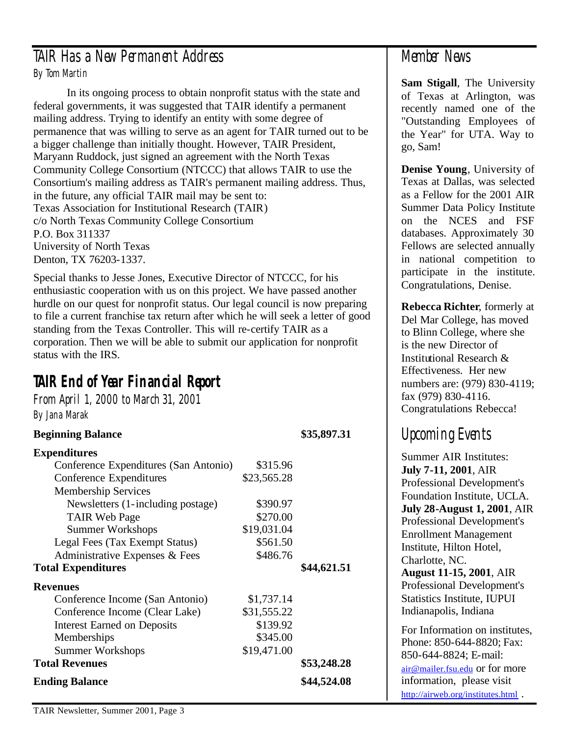# TAIR Has a New Permanent Address By Tom Martin

In its ongoing process to obtain nonprofit status with the state and federal governments, it was suggested that TAIR identify a permanent mailing address. Trying to identify an entity with some degree of permanence that was willing to serve as an agent for TAIR turned out to be a bigger challenge than initially thought. However, TAIR President, Maryann Ruddock, just signed an agreement with the North Texas Community College Consortium (NTCCC) that allows TAIR to use the Consortium's mailing address as TAIR's permanent mailing address. Thus, in the future, any official TAIR mail may be sent to: Texas Association for Institutional Research (TAIR) c/o North Texas Community College Consortium P.O. Box 311337 University of North Texas Denton, TX 76203-1337.

Special thanks to Jesse Jones, Executive Director of NTCCC, for his enthusiastic cooperation with us on this project. We have passed another hurdle on our quest for nonprofit status. Our legal council is now preparing to file a current franchise tax return after which he will seek a letter of good standing from the Texas Controller. This will re-certify TAIR as a corporation. Then we will be able to submit our application for nonprofit status with the IRS.

# **TAIR End of Year Financial Report**

From April 1, 2000 to March 31, 2001 By Jana Marak

## **Beginning Balance \$35,897.31**

| <b>Expenditures</b>                   |             |             |
|---------------------------------------|-------------|-------------|
| Conference Expenditures (San Antonio) | \$315.96    |             |
| Conference Expenditures               | \$23,565.28 |             |
| <b>Membership Services</b>            |             |             |
| Newsletters (1-including postage)     | \$390.97    |             |
| <b>TAIR Web Page</b>                  | \$270.00    |             |
| <b>Summer Workshops</b>               | \$19,031.04 |             |
| Legal Fees (Tax Exempt Status)        | \$561.50    |             |
| Administrative Expenses & Fees        | \$486.76    |             |
| <b>Total Expenditures</b>             |             | \$44,621.51 |
| <b>Revenues</b>                       |             |             |
| Conference Income (San Antonio)       | \$1,737.14  |             |
| Conference Income (Clear Lake)        | \$31,555.22 |             |
| <b>Interest Earned on Deposits</b>    | \$139.92    |             |
| Memberships                           | \$345.00    |             |
| <b>Summer Workshops</b>               | \$19,471.00 |             |
| <b>Total Revenues</b>                 |             | \$53,248.28 |
| <b>Ending Balance</b>                 |             | \$44,524.08 |

# Member News

**Sam Stigall**, The University of Texas at Arlington, was recently named one of the "Outstanding Employees of the Year" for UTA. Way to go, Sam!

**Denise Young**, University of Texas at Dallas, was selected as a Fellow for the 2001 AIR Summer Data Policy Institute on the NCES and FSF databases. Approximately 30 Fellows are selected annually in national competition to participate in the institute. Congratulations, Denise.

**Rebecca Richter**, formerly at Del Mar College, has moved to Blinn College, where she is the new Director of Institutional Research & Effectiveness. Her new numbers are: (979) 830-4119; fax (979) 830-4116. Congratulations Rebecca!

# Upcoming Events

Summer AIR Institutes: **July 7-11, 2001**, AIR Professional Development's Foundation Institute, UCLA. **July 28-August 1, 2001**, AIR Professional Development's Enrollment Management Institute, Hilton Hotel, Charlotte, NC. **August 11-15, 2001**, AIR Professional Development's Statistics Institute, IUPUI Indianapolis, Indiana For Information on institutes, Phone: 850-644-8820; Fax: 850-644-8824; E-mail: air@mailer.fsu.edu or for more information, please visit

http://airweb.org/institutes.html .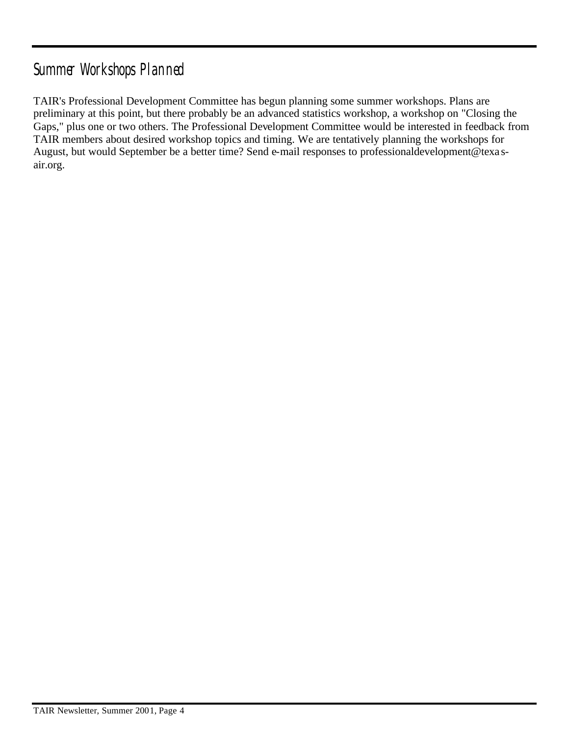# Summer Workshops Planned

TAIR's Professional Development Committee has begun planning some summer workshops. Plans are preliminary at this point, but there probably be an advanced statistics workshop, a workshop on "Closing the Gaps," plus one or two others. The Professional Development Committee would be interested in feedback from TAIR members about desired workshop topics and timing. We are tentatively planning the workshops for August, but would September be a better time? Send e-mail responses to professionaldevelopment@texa sair.org.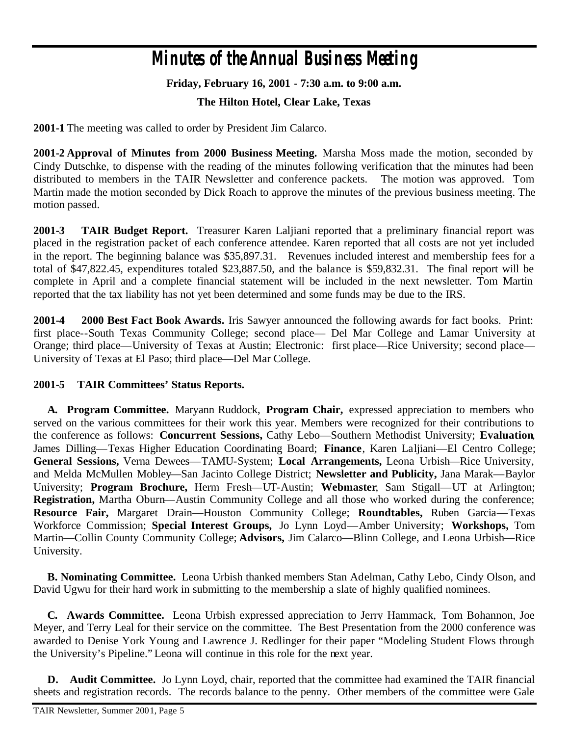# **Minutes of the Annual Business Meeting**

#### **Friday, February 16, 2001 - 7:30 a.m. to 9:00 a.m.**

#### **The Hilton Hotel, Clear Lake, Texas**

**2001-1** The meeting was called to order by President Jim Calarco.

**2001-2 Approval of Minutes from 2000 Business Meeting.** Marsha Moss made the motion, seconded by Cindy Dutschke, to dispense with the reading of the minutes following verification that the minutes had been distributed to members in the TAIR Newsletter and conference packets. The motion was approved. Tom Martin made the motion seconded by Dick Roach to approve the minutes of the previous business meeting. The motion passed.

**2001-3 TAIR Budget Report.** Treasurer Karen Laljiani reported that a preliminary financial report was placed in the registration packet of each conference attendee. Karen reported that all costs are not yet included in the report. The beginning balance was \$35,897.31. Revenues included interest and membership fees for a total of \$47,822.45, expenditures totaled \$23,887.50, and the balance is \$59,832.31. The final report will be complete in April and a complete financial statement will be included in the next newsletter. Tom Martin reported that the tax liability has not yet been determined and some funds may be due to the IRS.

**2001-4 2000 Best Fact Book Awards.** Iris Sawyer announced the following awards for fact books. Print: first place--South Texas Community College; second place— Del Mar College and Lamar University at Orange; third place—University of Texas at Austin; Electronic: first place—Rice University; second place— University of Texas at El Paso; third place—Del Mar College.

#### **2001-5 TAIR Committees' Status Reports.**

**A. Program Committee.** Maryann Ruddock, **Program Chair,** expressed appreciation to members who served on the various committees for their work this year. Members were recognized for their contributions to the conference as follows: **Concurrent Sessions,** Cathy Lebo—Southern Methodist University; **Evaluation**, James Dilling—Texas Higher Education Coordinating Board; **Finance**, Karen Laljiani—El Centro College; **General Sessions,** Verna Dewees—TAMU-System; **Local Arrangements,** Leona Urbish—Rice University, and Melda McMullen Mobley—San Jacinto College District; **Newsletter and Publicity,** Jana Marak—Baylor University; **Program Brochure,** Herm Fresh—UT-Austin; **Webmaster**, Sam Stigall—UT at Arlington; **Registration,** Martha Oburn—Austin Community College and all those who worked during the conference; **Resource Fair,** Margaret Drain—Houston Community College; **Roundtables,** Ruben Garcia—Texas Workforce Commission; **Special Interest Groups,** Jo Lynn Loyd—Amber University; **Workshops,** Tom Martin—Collin County Community College; **Advisors,** Jim Calarco—Blinn College, and Leona Urbish—Rice University.

**B. Nominating Committee.** Leona Urbish thanked members Stan Adelman, Cathy Lebo, Cindy Olson, and David Ugwu for their hard work in submitting to the membership a slate of highly qualified nominees.

**C. Awards Committee.** Leona Urbish expressed appreciation to Jerry Hammack, Tom Bohannon, Joe Meyer, and Terry Leal for their service on the committee. The Best Presentation from the 2000 conference was awarded to Denise York Young and Lawrence J. Redlinger for their paper "Modeling Student Flows through the University's Pipeline." Leona will continue in this role for the next year.

**D. Audit Committee.** Jo Lynn Loyd, chair, reported that the committee had examined the TAIR financial sheets and registration records. The records balance to the penny. Other members of the committee were Gale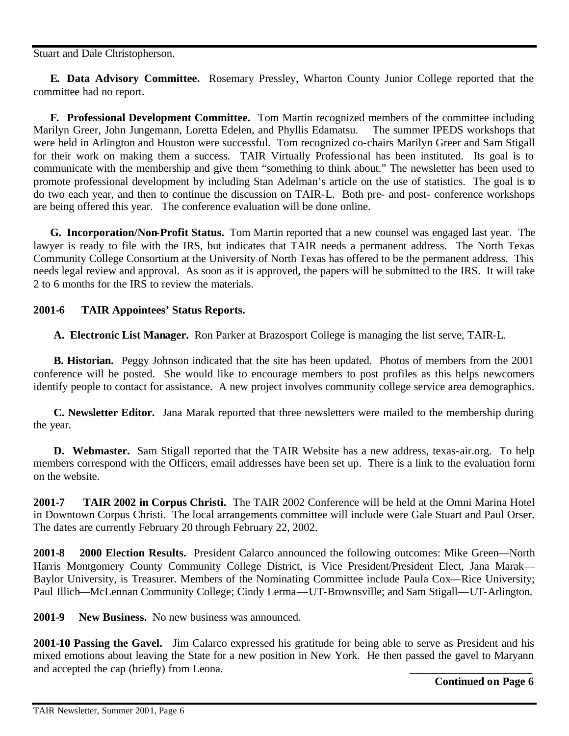Stuart and Dale Christopherson.

 **E. Data Advisory Committee.** Rosemary Pressley, Wharton County Junior College reported that the committee had no report.

 **F. Professional Development Committee.** Tom Martin recognized members of the committee including Marilyn Greer, John Jungemann, Loretta Edelen, and Phyllis Edamatsu. The summer IPEDS workshops that were held in Arlington and Houston were successful. Tom recognized co-chairs Marilyn Greer and Sam Stigall for their work on making them a success. TAIR Virtually Professional has been instituted. Its goal is to communicate with the membership and give them "something to think about." The newsletter has been used to promote professional development by including Stan Adelman's article on the use of statistics. The goal is to do two each year, and then to continue the discussion on TAIR-L. Both pre- and post- conference workshops are being offered this year. The conference evaluation will be done online.

 **G. Incorporation/Non-Profit Status.** Tom Martin reported that a new counsel was engaged last year. The lawyer is ready to file with the IRS, but indicates that TAIR needs a permanent address. The North Texas Community College Consortium at the University of North Texas has offered to be the permanent address. This needs legal review and approval. As soon as it is approved, the papers will be submitted to the IRS. It will take 2 to 6 months for the IRS to review the materials.

#### **2001-6 TAIR Appointees' Status Reports.**

**A. Electronic List Manager.** Ron Parker at Brazosport College is managing the list serve, TAIR-L.

**B. Historian.** Peggy Johnson indicated that the site has been updated. Photos of members from the 2001 conference will be posted. She would like to encourage members to post profiles as this helps newcomers identify people to contact for assistance. A new project involves community college service area demographics.

**C. Newsletter Editor.** Jana Marak reported that three newsletters were mailed to the membership during the year.

**D. Webmaster.** Sam Stigall reported that the TAIR Website has a new address, texas-air.org. To help members correspond with the Officers, email addresses have been set up. There is a link to the evaluation form on the website.

**2001-7 TAIR 2002 in Corpus Christi.** The TAIR 2002 Conference will be held at the Omni Marina Hotel in Downtown Corpus Christi. The local arrangements committee will include were Gale Stuart and Paul Orser. The dates are currently February 20 through February 22, 2002.

**2001-8 2000 Election Results.** President Calarco announced the following outcomes: Mike Green—North Harris Montgomery County Community College District, is Vice President/President Elect, Jana Marak— Baylor University, is Treasurer. Members of the Nominating Committee include Paula Cox—Rice University; Paul Illich—McLennan Community College; Cindy Lerma—UT-Brownsville; and Sam Stigall—UT-Arlington.

**2001-9 New Business.** No new business was announced.

**2001-10 Passing the Gavel.** Jim Calarco expressed his gratitude for being able to serve as President and his mixed emotions about leaving the State for a new position in New York. He then passed the gavel to Maryann and accepted the cap (briefly) from Leona.

**Continued on Page 6**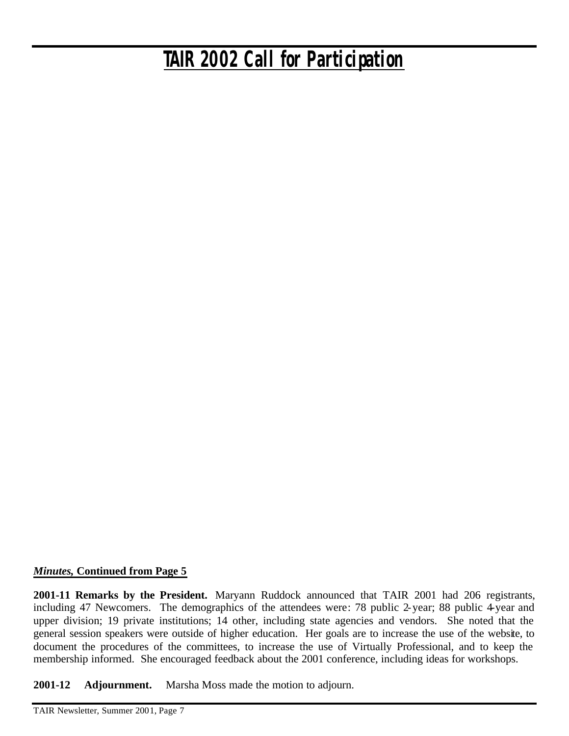# *TAIR 2002 Call for Participation*

#### *Minutes,* **Continued from Page 5**

**2001-11 Remarks by the President.** Maryann Ruddock announced that TAIR 2001 had 206 registrants, including 47 Newcomers. The demographics of the attendees were: 78 public 2-year; 88 public 4-year and upper division; 19 private institutions; 14 other, including state agencies and vendors. She noted that the general session speakers were outside of higher education. Her goals are to increase the use of the website, to document the procedures of the committees, to increase the use of Virtually Professional, and to keep the membership informed. She encouraged feedback about the 2001 conference, including ideas for workshops.

**2001-12 Adjournment.** Marsha Moss made the motion to adjourn.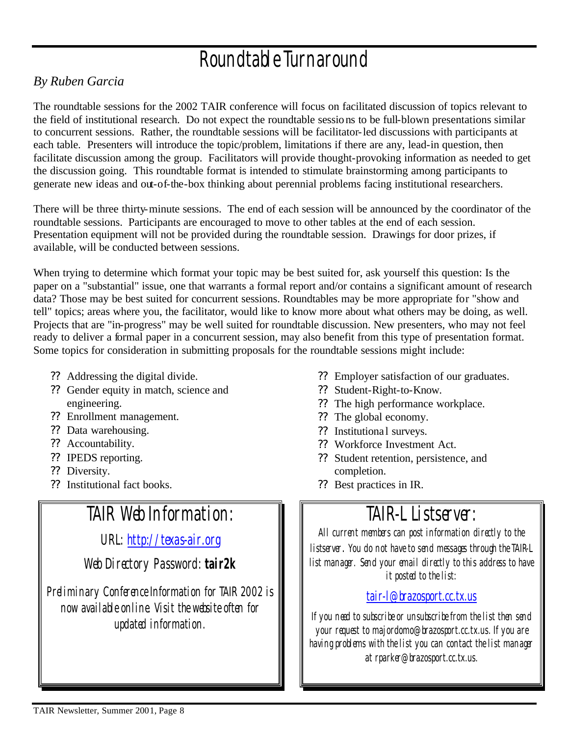# Roundtable Turnaround

## *By Ruben Garcia*

The roundtable sessions for the 2002 TAIR conference will focus on facilitated discussion of topics relevant to the field of institutional research. Do not expect the roundtable sessions to be full-blown presentations similar to concurrent sessions. Rather, the roundtable sessions will be facilitator-led discussions with participants at each table. Presenters will introduce the topic/problem, limitations if there are any, lead-in question, then facilitate discussion among the group. Facilitators will provide thought-provoking information as needed to get the discussion going. This roundtable format is intended to stimulate brainstorming among participants to generate new ideas and out-of-the-box thinking about perennial problems facing institutional researchers.

There will be three thirty-minute sessions. The end of each session will be announced by the coordinator of the roundtable sessions. Participants are encouraged to move to other tables at the end of each session. Presentation equipment will not be provided during the roundtable session. Drawings for door prizes, if available, will be conducted between sessions.

When trying to determine which format your topic may be best suited for, ask yourself this question: Is the paper on a "substantial" issue, one that warrants a formal report and/or contains a significant amount of research data? Those may be best suited for concurrent sessions. Roundtables may be more appropriate for "show and tell" topics; areas where you, the facilitator, would like to know more about what others may be doing, as well. Projects that are "in-progress" may be well suited for roundtable discussion. New presenters, who may not feel ready to deliver a formal paper in a concurrent session, may also benefit from this type of presentation format. Some topics for consideration in submitting proposals for the roundtable sessions might include:

- ?? Addressing the digital divide.
- ?? Gender equity in match, science and engineering.
- ?? Enrollment management.
- ?? Data warehousing.
- ?? Accountability.
- ?? IPEDS reporting.
- ?? Diversity.
- ?? Institutional fact books.

# TAIR Web Information:

URL: http://texas-air.org

Web Directory Password: **tair2k**

Preliminary Conference Information for TAIR 2002 is now available online. Visit the website often for updated information.

- ?? Employer satisfaction of our graduates.
- ?? Student-Right-to-Know.
- ?? The high performance workplace.
- ?? The global economy.
- ?? Institutional surveys.
- ?? Workforce Investment Act.
- ?? Student retention, persistence, and completion.
- ?? Best practices in IR.

# TAIR-L Listserver:

All current members can post information directly to the listserver. You do not have to send messages through the TAIR-L list manager. Send your email directly to this address to have it posted to the list:

# tair-l@brazosport.cc.tx.us

If you need to subscribe or unsubscribe from the list then send your request to majordomo@brazosport.cc.tx.us. If you are having problems with the list you can contact the list manager at rparker@brazosport.cc.tx.us.